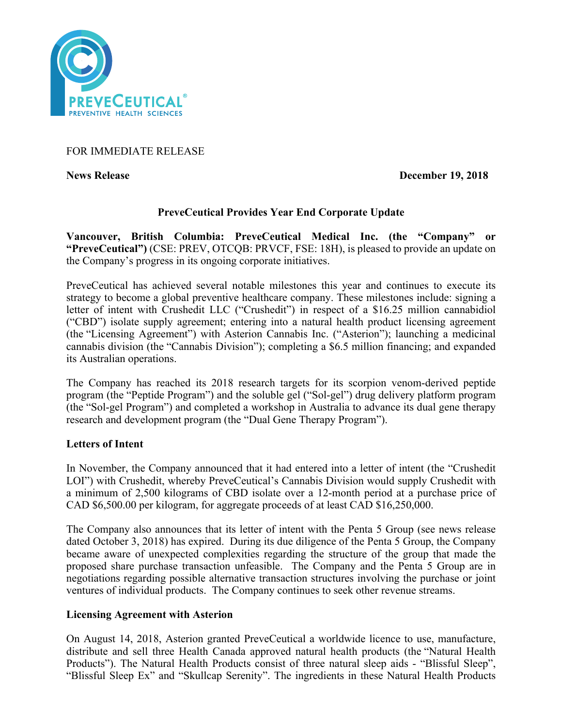

# FOR IMMEDIATE RELEASE

**News Release December 19, 2018**

# **PreveCeutical Provides Year End Corporate Update**

**Vancouver, British Columbia: PreveCeutical Medical Inc. (the "Company" or "PreveCeutical")** (CSE: PREV, OTCQB: PRVCF, FSE: 18H), is pleased to provide an update on the Company's progress in its ongoing corporate initiatives.

PreveCeutical has achieved several notable milestones this year and continues to execute its strategy to become a global preventive healthcare company. These milestones include: signing a letter of intent with Crushedit LLC ("Crushedit") in respect of a \$16.25 million cannabidiol ("CBD") isolate supply agreement; entering into a natural health product licensing agreement (the "Licensing Agreement") with Asterion Cannabis Inc. ("Asterion"); launching a medicinal cannabis division (the "Cannabis Division"); completing a \$6.5 million financing; and expanded its Australian operations.

The Company has reached its 2018 research targets for its scorpion venom-derived peptide program (the "Peptide Program") and the soluble gel ("Sol-gel") drug delivery platform program (the "Sol-gel Program") and completed a workshop in Australia to advance its dual gene therapy research and development program (the "Dual Gene Therapy Program").

# **Letters of Intent**

In November, the Company announced that it had entered into a letter of intent (the "Crushedit LOI") with Crushedit, whereby PreveCeutical's Cannabis Division would supply Crushedit with a minimum of 2,500 kilograms of CBD isolate over a 12-month period at a purchase price of CAD \$6,500.00 per kilogram, for aggregate proceeds of at least CAD \$16,250,000.

The Company also announces that its letter of intent with the Penta 5 Group (see news release dated October 3, 2018) has expired. During its due diligence of the Penta 5 Group, the Company became aware of unexpected complexities regarding the structure of the group that made the proposed share purchase transaction unfeasible. The Company and the Penta 5 Group are in negotiations regarding possible alternative transaction structures involving the purchase or joint ventures of individual products. The Company continues to seek other revenue streams.

# **Licensing Agreement with Asterion**

On August 14, 2018, Asterion granted PreveCeutical a worldwide licence to use, manufacture, distribute and sell three Health Canada approved natural health products (the "Natural Health Products"). The Natural Health Products consist of three natural sleep aids - "Blissful Sleep", "Blissful Sleep Ex" and "Skullcap Serenity". The ingredients in these Natural Health Products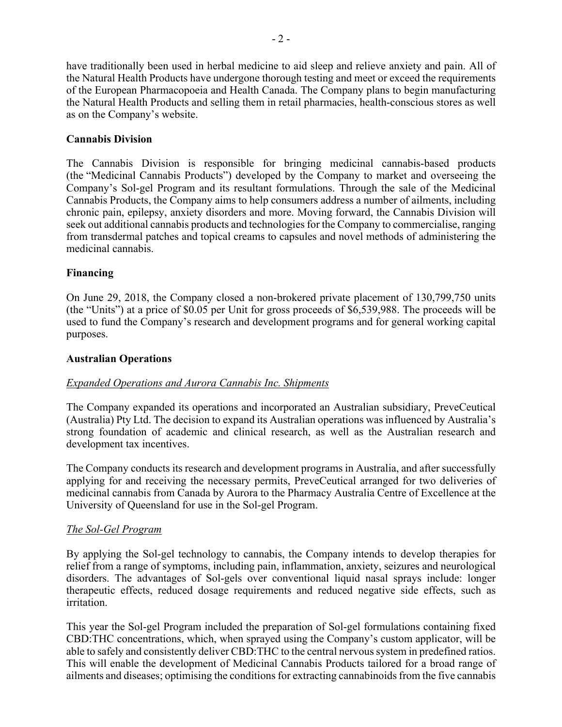have traditionally been used in herbal medicine to aid sleep and relieve anxiety and pain. All of the Natural Health Products have undergone thorough testing and meet or exceed the requirements of the European Pharmacopoeia and Health Canada. The Company plans to begin manufacturing the Natural Health Products and selling them in retail pharmacies, health-conscious stores as well as on the Company's website.

## **Cannabis Division**

The Cannabis Division is responsible for bringing medicinal cannabis-based products (the "Medicinal Cannabis Products") developed by the Company to market and overseeing the Company's Sol-gel Program and its resultant formulations. Through the sale of the Medicinal Cannabis Products, the Company aims to help consumers address a number of ailments, including chronic pain, epilepsy, anxiety disorders and more. Moving forward, the Cannabis Division will seek out additional cannabis products and technologies for the Company to commercialise, ranging from transdermal patches and topical creams to capsules and novel methods of administering the medicinal cannabis.

## **Financing**

On June 29, 2018, the Company closed a non-brokered private placement of 130,799,750 units (the "Units") at a price of \$0.05 per Unit for gross proceeds of \$6,539,988. The proceeds will be used to fund the Company's research and development programs and for general working capital purposes.

#### **Australian Operations**

#### *Expanded Operations and Aurora Cannabis Inc. Shipments*

The Company expanded its operations and incorporated an Australian subsidiary, PreveCeutical (Australia) Pty Ltd. The decision to expand its Australian operations was influenced by Australia's strong foundation of academic and clinical research, as well as the Australian research and development tax incentives.

The Company conducts its research and development programs in Australia, and after successfully applying for and receiving the necessary permits, PreveCeutical arranged for two deliveries of medicinal cannabis from Canada by Aurora to the Pharmacy Australia Centre of Excellence at the University of Queensland for use in the Sol-gel Program.

#### *The Sol-Gel Program*

By applying the Sol-gel technology to cannabis, the Company intends to develop therapies for relief from a range of symptoms, including pain, inflammation, anxiety, seizures and neurological disorders. The advantages of Sol-gels over conventional liquid nasal sprays include: longer therapeutic effects, reduced dosage requirements and reduced negative side effects, such as irritation.

This year the Sol-gel Program included the preparation of Sol-gel formulations containing fixed CBD:THC concentrations, which, when sprayed using the Company's custom applicator, will be able to safely and consistently deliver CBD:THC to the central nervous system in predefined ratios. This will enable the development of Medicinal Cannabis Products tailored for a broad range of ailments and diseases; optimising the conditions for extracting cannabinoids from the five cannabis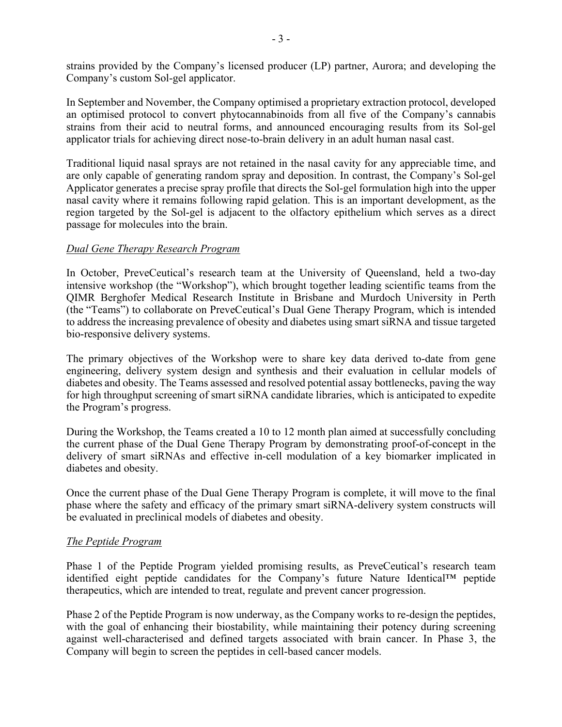strains provided by the Company's licensed producer (LP) partner, Aurora; and developing the Company's custom Sol-gel applicator.

In September and November, the Company optimised a proprietary extraction protocol, developed an optimised protocol to convert phytocannabinoids from all five of the Company's cannabis strains from their acid to neutral forms, and announced encouraging results from its Sol-gel applicator trials for achieving direct nose-to-brain delivery in an adult human nasal cast.

Traditional liquid nasal sprays are not retained in the nasal cavity for any appreciable time, and are only capable of generating random spray and deposition. In contrast, the Company's Sol-gel Applicator generates a precise spray profile that directs the Sol-gel formulation high into the upper nasal cavity where it remains following rapid gelation. This is an important development, as the region targeted by the Sol-gel is adjacent to the olfactory epithelium which serves as a direct passage for molecules into the brain.

#### *Dual Gene Therapy Research Program*

In October, PreveCeutical's research team at the University of Queensland, held a two-day intensive workshop (the "Workshop"), which brought together leading scientific teams from the QIMR Berghofer Medical Research Institute in Brisbane and Murdoch University in Perth (the "Teams") to collaborate on PreveCeutical's Dual Gene Therapy Program, which is intended to address the increasing prevalence of obesity and diabetes using smart siRNA and tissue targeted bio-responsive delivery systems.

The primary objectives of the Workshop were to share key data derived to-date from gene engineering, delivery system design and synthesis and their evaluation in cellular models of diabetes and obesity. The Teams assessed and resolved potential assay bottlenecks, paving the way for high throughput screening of smart siRNA candidate libraries, which is anticipated to expedite the Program's progress.

During the Workshop, the Teams created a 10 to 12 month plan aimed at successfully concluding the current phase of the Dual Gene Therapy Program by demonstrating proof-of-concept in the delivery of smart siRNAs and effective in-cell modulation of a key biomarker implicated in diabetes and obesity.

Once the current phase of the Dual Gene Therapy Program is complete, it will move to the final phase where the safety and efficacy of the primary smart siRNA-delivery system constructs will be evaluated in preclinical models of diabetes and obesity.

#### *The Peptide Program*

Phase 1 of the Peptide Program yielded promising results, as PreveCeutical's research team identified eight peptide candidates for the Company's future Nature Identical™ peptide therapeutics, which are intended to treat, regulate and prevent cancer progression.

Phase 2 of the Peptide Program is now underway, as the Company works to re-design the peptides, with the goal of enhancing their biostability, while maintaining their potency during screening against well-characterised and defined targets associated with brain cancer. In Phase 3, the Company will begin to screen the peptides in cell-based cancer models.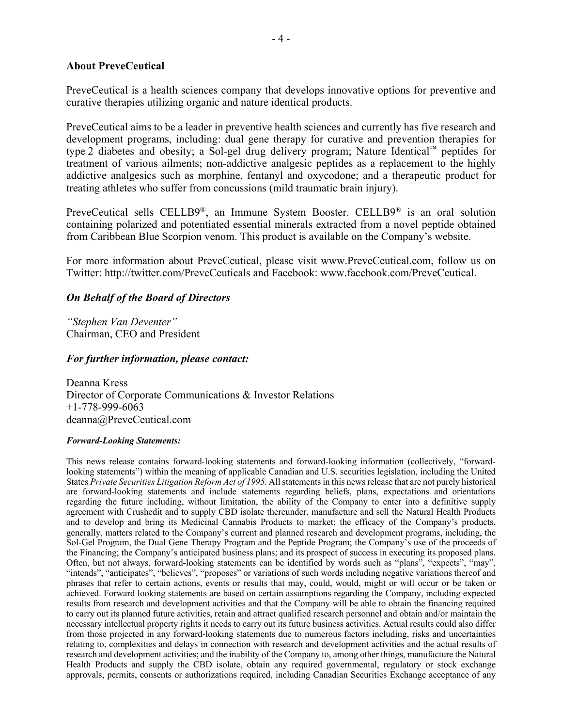#### **About PreveCeutical**

PreveCeutical is a health sciences company that develops innovative options for preventive and curative therapies utilizing organic and nature identical products.

PreveCeutical aims to be a leader in preventive health sciences and currently has five research and development programs, including: dual gene therapy for curative and prevention therapies for type 2 diabetes and obesity; a Sol-gel drug delivery program; Nature Identical™ peptides for treatment of various ailments; non-addictive analgesic peptides as a replacement to the highly addictive analgesics such as morphine, fentanyl and oxycodone; and a therapeutic product for treating athletes who suffer from concussions (mild traumatic brain injury).

PreveCeutical sells CELLB9®, an Immune System Booster. CELLB9® is an oral solution containing polarized and potentiated essential minerals extracted from a novel peptide obtained from Caribbean Blue Scorpion venom. This product is available on the Company's website.

For more information about PreveCeutical, please visit www.PreveCeutical.com, follow us on Twitter: http://twitter.com/PreveCeuticals and Facebook: www.facebook.com/PreveCeutical.

#### *On Behalf of the Board of Directors*

*"Stephen Van Deventer"* Chairman, CEO and President

#### *For further information, please contact:*

Deanna Kress Director of Corporate Communications & Investor Relations +1-778-999-6063 deanna@PreveCeutical.com

#### *Forward-Looking Statements:*

This news release contains forward-looking statements and forward-looking information (collectively, "forwardlooking statements") within the meaning of applicable Canadian and U.S. securities legislation, including the United States *Private Securities Litigation Reform Act of 1995*. All statements in this news release that are not purely historical are forward-looking statements and include statements regarding beliefs, plans, expectations and orientations regarding the future including, without limitation, the ability of the Company to enter into a definitive supply agreement with Crushedit and to supply CBD isolate thereunder, manufacture and sell the Natural Health Products and to develop and bring its Medicinal Cannabis Products to market; the efficacy of the Company's products, generally, matters related to the Company's current and planned research and development programs, including, the Sol-Gel Program, the Dual Gene Therapy Program and the Peptide Program; the Company's use of the proceeds of the Financing; the Company's anticipated business plans; and its prospect of success in executing its proposed plans. Often, but not always, forward-looking statements can be identified by words such as "plans", "expects", "may", "intends", "anticipates", "believes", "proposes" or variations of such words including negative variations thereof and phrases that refer to certain actions, events or results that may, could, would, might or will occur or be taken or achieved. Forward looking statements are based on certain assumptions regarding the Company, including expected results from research and development activities and that the Company will be able to obtain the financing required to carry out its planned future activities, retain and attract qualified research personnel and obtain and/or maintain the necessary intellectual property rights it needs to carry out its future business activities. Actual results could also differ from those projected in any forward-looking statements due to numerous factors including, risks and uncertainties relating to, complexities and delays in connection with research and development activities and the actual results of research and development activities; and the inability of the Company to, among other things, manufacture the Natural Health Products and supply the CBD isolate, obtain any required governmental, regulatory or stock exchange approvals, permits, consents or authorizations required, including Canadian Securities Exchange acceptance of any